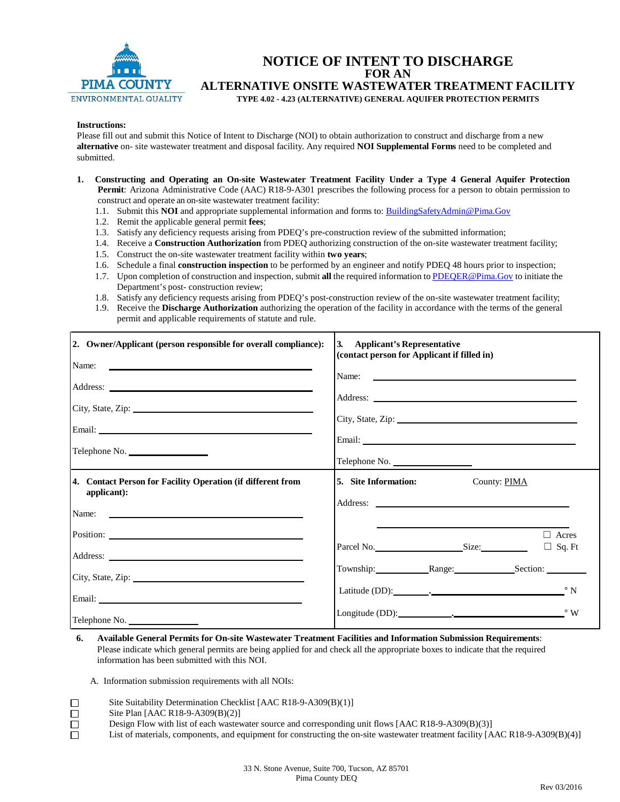

## **NOTICE OF INTENT TO DISCHARGE FOR AN ALTERNATIVE ONSITE WASTEWATER TREATMENT FACILITY TYPE 4.02 - 4.23 (ALTERNATIVE) GENERAL AQUIFER PROTECTION PERMITS**

#### **Instructions:**

Please fill out and submit this Notice of Intent to Discharge (NOI) to obtain authorization to construct and discharge from a new **alternative** on- site wastewater treatment and disposal facility. Any required **NOI Supplemental Forms** need to be completed and submitted.

- **1. Constructing and Operating an On-site Wastewater Treatment Facility Under a Type 4 General Aquifer Protection Permit**: Arizona Administrative Code (AAC) R18-9-A301 prescribes the following process for a person to obtain permission to construct and operate an on-site wastewater treatment facility:
	- 1.1. Submit this **NOI** and appropriate supplemental information and forms to[: BuildingSafetyAdmin@Pima.Gov](mailto:BuildingSafetyAdmin@Pima.Gov)
	- 1.2. Remit the applicable general permit **fees**;
	- 1.3. Satisfy any deficiency requests arising from PDEQ's pre-construction review of the submitted information;
	- 1.4. Receive a **Construction Authorization** from PDEQ authorizing construction of the on-site wastewater treatment facility;
	- 1.5. Construct the on-site wastewater treatment facility within **two years**;
	- 1.6. Schedule a final **construction inspection** to be performed by an engineer and notify PDEQ 48 hours prior to inspection;
	- 1.7. Upon completion of construction and inspection, submit **all** the required information to [PDEQER@Pima.Gov](mailto:PDEQER@Pima.Gov) to initiate the Department's post- construction review;
	- 1.8. Satisfy any deficiency requests arising from PDEQ's post-construction review of the on-site wastewater treatment facility;
	- 1.9. Receive the **Discharge Authorization** authorizing the operation of the facility in accordance with the terms of the general permit and applicable requirements of statute and rule.

| 2. Owner/Applicant (person responsible for overall compliance):                                                                                                                                                                     | 3. Applicant's Representative<br>(contact person for Applicant if filled in)                                                                                                                                                   |  |  |
|-------------------------------------------------------------------------------------------------------------------------------------------------------------------------------------------------------------------------------------|--------------------------------------------------------------------------------------------------------------------------------------------------------------------------------------------------------------------------------|--|--|
|                                                                                                                                                                                                                                     |                                                                                                                                                                                                                                |  |  |
|                                                                                                                                                                                                                                     | Name:                                                                                                                                                                                                                          |  |  |
| City, State, Zip: 2008. Experience of the State of Table 1.                                                                                                                                                                         | City, State, Zip:                                                                                                                                                                                                              |  |  |
|                                                                                                                                                                                                                                     |                                                                                                                                                                                                                                |  |  |
|                                                                                                                                                                                                                                     | Email: New York: New York: New York: New York: New York: New York: New York: New York: New York: New York: New York: New York: New York: New York: New York: New York: New York: New York: New York: New York: New York: New Y |  |  |
| Telephone No.                                                                                                                                                                                                                       | Telephone No.                                                                                                                                                                                                                  |  |  |
| 4. Contact Person for Facility Operation (if different from<br>applicant):                                                                                                                                                          | 5. Site Information:<br>County: PIMA                                                                                                                                                                                           |  |  |
|                                                                                                                                                                                                                                     |                                                                                                                                                                                                                                |  |  |
|                                                                                                                                                                                                                                     | Acres                                                                                                                                                                                                                          |  |  |
| Address: <u>Note</u> 2008 and 2008 and 2008 and 2008 and 2008 and 2008 and 2008 and 2008 and 2008 and 2008 and 2008 and 2008 and 2008 and 2008 and 2008 and 2008 and 2008 and 2008 and 2008 and 2008 and 2008 and 2008 and 2008 and | Parcel No. Size:<br>$\Box$ Sq. Ft                                                                                                                                                                                              |  |  |
| City, State, Zip: 2008. Experience of the State of Table 1.                                                                                                                                                                         | Township: Range: Section:                                                                                                                                                                                                      |  |  |
|                                                                                                                                                                                                                                     |                                                                                                                                                                                                                                |  |  |
| Telephone No.                                                                                                                                                                                                                       | Longitude (DD): Note a longitude (DD):                                                                                                                                                                                         |  |  |

**6. Available General Permits for On-site Wastewater Treatment Facilities and Information Submission Requirements**: Please indicate which general permits are being applied for and check all the appropriate boxes to indicate that the required information has been submitted with this NOI.

A. Information submission requirements with all NOIs:

- Site Suitability Determination Checklist [AAC R18-9-A309(B)(1)]
- Site Plan [AAC R18-9-A309(B)(2)]

□  $\Box$  $\Box$  $\Box$ 

Design Flow with list of each wastewater source and corresponding unit flows [AAC R18-9-A309(B)(3)]

List of materials, components, and equipment for constructing the on-site wastewater treatment facility [AAC R18-9-A309(B)(4)]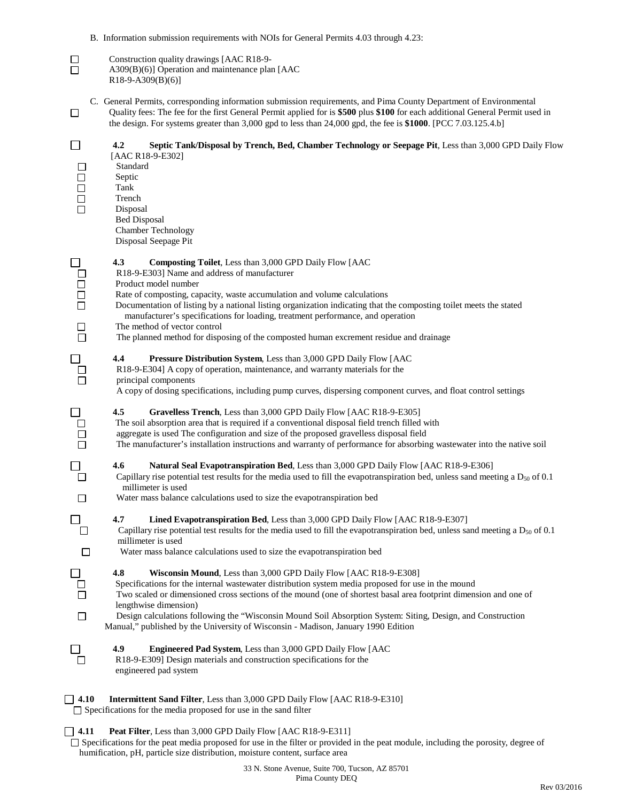B. Information submission requirements with NOIs for General Permits 4.03 through 4.23:

| $\Box$<br>$\Box$                                                                     | Construction quality drawings [AAC R18-9-<br>A309(B)(6)] Operation and maintenance plan [AAC<br>$R18-9-A309(B)(6)$ ]                                                                                                                                                                                                                                                                                                                                                                                                                                        |
|--------------------------------------------------------------------------------------|-------------------------------------------------------------------------------------------------------------------------------------------------------------------------------------------------------------------------------------------------------------------------------------------------------------------------------------------------------------------------------------------------------------------------------------------------------------------------------------------------------------------------------------------------------------|
| $\Box$                                                                               | C. General Permits, corresponding information submission requirements, and Pima County Department of Environmental<br>Quality fees: The fee for the first General Permit applied for is \$500 plus \$100 for each additional General Permit used in<br>the design. For systems greater than 3,000 gpd to less than 24,000 gpd, the fee is \$1000. [PCC 7.03.125.4.b]                                                                                                                                                                                        |
| $\Box$<br>$\begin{array}{c} \square \\ \square \end{array}$<br>$\Box$<br>$\Box$      | 4.2<br>Septic Tank/Disposal by Trench, Bed, Chamber Technology or Seepage Pit, Less than 3,000 GPD Daily Flow<br>[AAC R18-9-E302]<br>Standard<br>Septic<br>Tank<br>Trench<br>Disposal<br><b>Bed Disposal</b><br>Chamber Technology<br>Disposal Seepage Pit                                                                                                                                                                                                                                                                                                  |
| $\Box$<br>$\begin{array}{c} \square \\ \square \end{array}$<br>$\Box$<br>$\Box$<br>П | 4.3<br><b>Composting Toilet, Less than 3,000 GPD Daily Flow [AAC</b><br>R18-9-E303] Name and address of manufacturer<br>Product model number<br>Rate of composting, capacity, waste accumulation and volume calculations<br>Documentation of listing by a national listing organization indicating that the composting toilet meets the stated<br>manufacturer's specifications for loading, treatment performance, and operation<br>The method of vector control<br>The planned method for disposing of the composted human excrement residue and drainage |
| $\Box$                                                                               | 4.4<br>Pressure Distribution System, Less than 3,000 GPD Daily Flow [AAC<br>R18-9-E304] A copy of operation, maintenance, and warranty materials for the<br>principal components<br>A copy of dosing specifications, including pump curves, dispersing component curves, and float control settings                                                                                                                                                                                                                                                         |
| $\Box$<br>□                                                                          | 4.5<br>Gravelless Trench, Less than 3,000 GPD Daily Flow [AAC R18-9-E305]<br>The soil absorption area that is required if a conventional disposal field trench filled with<br>aggregate is used The configuration and size of the proposed gravelless disposal field<br>The manufacturer's installation instructions and warranty of performance for absorbing wastewater into the native soil                                                                                                                                                              |
| $\Box$<br>$\Box$                                                                     | 4.6<br>Natural Seal Evapotranspiration Bed, Less than 3,000 GPD Daily Flow [AAC R18-9-E306]<br>Capillary rise potential test results for the media used to fill the evapotranspiration bed, unless sand meeting a $D_{50}$ of 0.1<br>millimeter is used<br>Water mass balance calculations used to size the evapotranspiration bed                                                                                                                                                                                                                          |
| $\Box$                                                                               | 4.7<br>Lined Evapotranspiration Bed, Less than 3,000 GPD Daily Flow [AAC R18-9-E307]<br>Capillary rise potential test results for the media used to fill the evapotranspiration bed, unless sand meeting a $D_{50}$ of 0.1<br>millimeter is used<br>Water mass balance calculations used to size the evapotranspiration bed                                                                                                                                                                                                                                 |
| $\Box$<br>$\Box$                                                                     | 4.8<br>Wisconsin Mound, Less than 3,000 GPD Daily Flow [AAC R18-9-E308]<br>Specifications for the internal wastewater distribution system media proposed for use in the mound<br>Two scaled or dimensioned cross sections of the mound (one of shortest basal area footprint dimension and one of<br>lengthwise dimension)<br>Design calculations following the "Wisconsin Mound Soil Absorption System: Siting, Design, and Construction<br>Manual," published by the University of Wisconsin - Madison, January 1990 Edition                              |
|                                                                                      | 4.9<br><b>Engineered Pad System, Less than 3,000 GPD Daily Flow [AAC</b><br>R18-9-E309] Design materials and construction specifications for the<br>engineered pad system                                                                                                                                                                                                                                                                                                                                                                                   |
| 4.10                                                                                 | <b>Intermittent Sand Filter, Less than 3,000 GPD Daily Flow [AAC R18-9-E310]</b><br>$\Box$ Specifications for the media proposed for use in the sand filter                                                                                                                                                                                                                                                                                                                                                                                                 |

## **4.11 Peat Filter**, Less than 3,000 GPD Daily Flow [AAC R18-9-E311]

 $\square$  Specifications for the peat media proposed for use in the filter or provided in the peat module, including the porosity, degree of humification, pH, particle size distribution, moisture content, surface area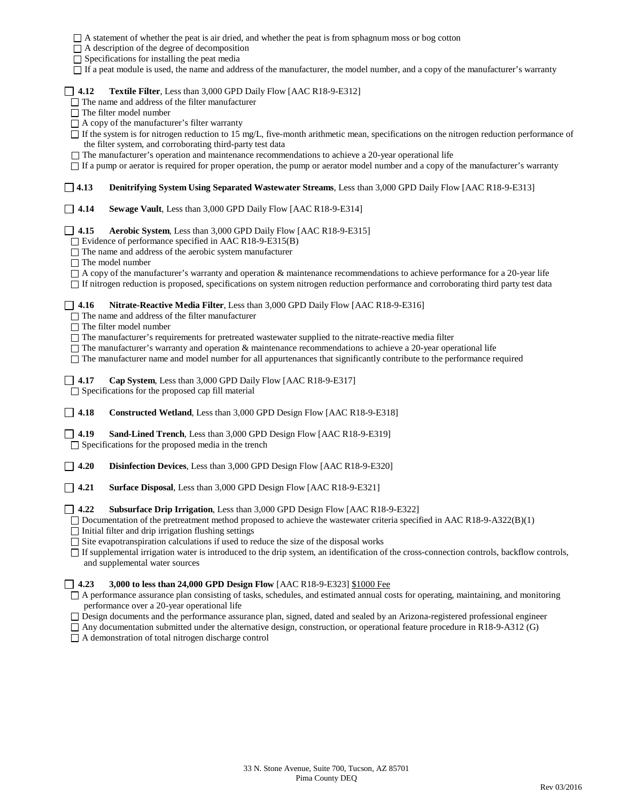|                                                                                                                                                                                                                                                                                                                                                                                                                                                                                                                                                                                                                                                                                                       | □ A statement of whether the peat is air dried, and whether the peat is from sphagnum moss or bog cotton<br>$\Box$ A description of the degree of decomposition<br>$\Box$ Specifications for installing the peat media<br>□ If a peat module is used, the name and address of the manufacturer, the model number, and a copy of the manufacturer's warranty |  |  |  |  |  |  |  |
|-------------------------------------------------------------------------------------------------------------------------------------------------------------------------------------------------------------------------------------------------------------------------------------------------------------------------------------------------------------------------------------------------------------------------------------------------------------------------------------------------------------------------------------------------------------------------------------------------------------------------------------------------------------------------------------------------------|-------------------------------------------------------------------------------------------------------------------------------------------------------------------------------------------------------------------------------------------------------------------------------------------------------------------------------------------------------------|--|--|--|--|--|--|--|
| Textile Filter, Less than 3,000 GPD Daily Flow [AAC R18-9-E312]<br>$1 \; 4.12$<br>$\Box$ The name and address of the filter manufacturer<br>$\Box$ The filter model number<br>$\Box$ A copy of the manufacturer's filter warranty<br>$\Box$ If the system is for nitrogen reduction to 15 mg/L, five-month arithmetic mean, specifications on the nitrogen reduction performance of<br>the filter system, and corroborating third-party test data<br>$\Box$ The manufacturer's operation and maintenance recommendations to achieve a 20-year operational life<br>□ If a pump or aerator is required for proper operation, the pump or aerator model number and a copy of the manufacturer's warranty |                                                                                                                                                                                                                                                                                                                                                             |  |  |  |  |  |  |  |
| $\Box$ 4.13                                                                                                                                                                                                                                                                                                                                                                                                                                                                                                                                                                                                                                                                                           | <b>Denitrifying System Using Separated Wastewater Streams, Less than 3,000 GPD Daily Flow [AAC R18-9-E313]</b>                                                                                                                                                                                                                                              |  |  |  |  |  |  |  |
| 4.14                                                                                                                                                                                                                                                                                                                                                                                                                                                                                                                                                                                                                                                                                                  | Sewage Vault, Less than 3,000 GPD Daily Flow [AAC R18-9-E314]                                                                                                                                                                                                                                                                                               |  |  |  |  |  |  |  |
| $\overline{1}$ 4.15<br>Aerobic System, Less than 3,000 GPD Daily Flow [AAC R18-9-E315]<br>$\Box$ Evidence of performance specified in AAC R18-9-E315(B)<br>$\Box$ The name and address of the aerobic system manufacturer<br>$\Box$ The model number<br>$\Box$ A copy of the manufacturer's warranty and operation & maintenance recommendations to achieve performance for a 20-year life<br>□ If nitrogen reduction is proposed, specifications on system nitrogen reduction performance and corroborating third party test data                                                                                                                                                                    |                                                                                                                                                                                                                                                                                                                                                             |  |  |  |  |  |  |  |
| 4.16<br>Nitrate-Reactive Media Filter, Less than 3,000 GPD Daily Flow [AAC R18-9-E316]<br>$\hfill\Box$<br>The name and address of the filter manufacturer<br>$\Box$ The filter model number<br>$\Box$ The manufacturer's requirements for pretreated wastewater supplied to the nitrate-reactive media filter<br>$\Box$ The manufacturer's warranty and operation & maintenance recommendations to achieve a 20-year operational life<br>The manufacturer name and model number for all appurtenances that significantly contribute to the performance required                                                                                                                                       |                                                                                                                                                                                                                                                                                                                                                             |  |  |  |  |  |  |  |
| 4.17                                                                                                                                                                                                                                                                                                                                                                                                                                                                                                                                                                                                                                                                                                  | Cap System, Less than 3,000 GPD Daily Flow [AAC R18-9-E317]<br>$\Box$ Specifications for the proposed cap fill material                                                                                                                                                                                                                                     |  |  |  |  |  |  |  |
| $\Box$ 4.18                                                                                                                                                                                                                                                                                                                                                                                                                                                                                                                                                                                                                                                                                           | <b>Constructed Wetland, Less than 3,000 GPD Design Flow [AAC R18-9-E318]</b>                                                                                                                                                                                                                                                                                |  |  |  |  |  |  |  |
| $\sqrt{4.19}$<br><b>Sand-Lined Trench</b> , Less than 3,000 GPD Design Flow [AAC R18-9-E319]<br>$\Box$ Specifications for the proposed media in the trench                                                                                                                                                                                                                                                                                                                                                                                                                                                                                                                                            |                                                                                                                                                                                                                                                                                                                                                             |  |  |  |  |  |  |  |
| 4.20                                                                                                                                                                                                                                                                                                                                                                                                                                                                                                                                                                                                                                                                                                  | <b>Disinfection Devices, Less than 3,000 GPD Design Flow [AAC R18-9-E320]</b>                                                                                                                                                                                                                                                                               |  |  |  |  |  |  |  |
| 4.21                                                                                                                                                                                                                                                                                                                                                                                                                                                                                                                                                                                                                                                                                                  | Surface Disposal, Less than 3,000 GPD Design Flow [AAC R18-9-E321]                                                                                                                                                                                                                                                                                          |  |  |  |  |  |  |  |
| 4.22<br>Subsurface Drip Irrigation, Less than 3,000 GPD Design Flow [AAC R18-9-E322]<br>$\Box$ Documentation of the pretreatment method proposed to achieve the wastewater criteria specified in AAC R18-9-A322(B)(1)<br>$\Box$ Initial filter and drip irrigation flushing settings<br>$\Box$ Site evapotranspiration calculations if used to reduce the size of the disposal works<br>□ If supplemental irrigation water is introduced to the drip system, an identification of the cross-connection controls, backflow controls,<br>and supplemental water sources                                                                                                                                 |                                                                                                                                                                                                                                                                                                                                                             |  |  |  |  |  |  |  |
| 3,000 to less than 24,000 GPD Design Flow [AAC R18-9-E323] \$1000 Fee<br>4.23<br>$\mathsf{L}$<br>□ A performance assurance plan consisting of tasks, schedules, and estimated annual costs for operating, maintaining, and monitoring<br>performance over a 20-year operational life<br>□ Design documents and the performance assurance plan, signed, dated and sealed by an Arizona-registered professional engineer<br>$\Box$ Any documentation submitted under the alternative design, construction, or operational feature procedure in R18-9-A312 (G)                                                                                                                                           |                                                                                                                                                                                                                                                                                                                                                             |  |  |  |  |  |  |  |

A demonstration of total nitrogen discharge control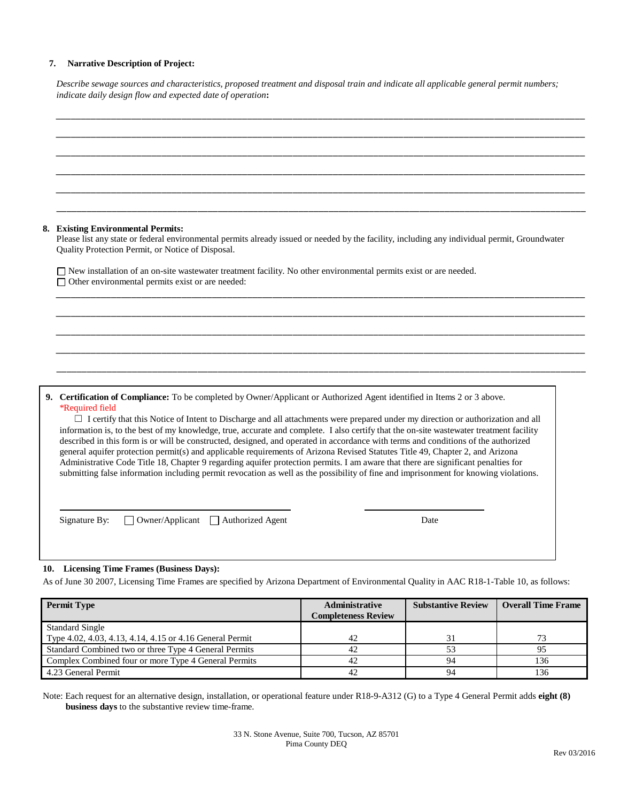### **7. Narrative Description of Project:**

| Describe sewage sources and characteristics, proposed treatment and disposal train and indicate all applicable general permit numbers; |
|----------------------------------------------------------------------------------------------------------------------------------------|
| indicate daily design flow and expected date of operation:                                                                             |

|                                                                                                                                                                           | 8. Existing Environmental Permits:<br>Please list any state or federal environmental permits already issued or needed by the facility, including any individual permit, Groundwater<br>Quality Protection Permit, or Notice of Disposal.                                                                                                                                                                                                                                                                                                                                                                                                                                                                                                                                                                                                                                                                                                                                        |  |  |  |
|---------------------------------------------------------------------------------------------------------------------------------------------------------------------------|---------------------------------------------------------------------------------------------------------------------------------------------------------------------------------------------------------------------------------------------------------------------------------------------------------------------------------------------------------------------------------------------------------------------------------------------------------------------------------------------------------------------------------------------------------------------------------------------------------------------------------------------------------------------------------------------------------------------------------------------------------------------------------------------------------------------------------------------------------------------------------------------------------------------------------------------------------------------------------|--|--|--|
| □ New installation of an on-site wastewater treatment facility. No other environmental permits exist or are needed.<br>□ Other environmental permits exist or are needed: |                                                                                                                                                                                                                                                                                                                                                                                                                                                                                                                                                                                                                                                                                                                                                                                                                                                                                                                                                                                 |  |  |  |
|                                                                                                                                                                           |                                                                                                                                                                                                                                                                                                                                                                                                                                                                                                                                                                                                                                                                                                                                                                                                                                                                                                                                                                                 |  |  |  |
|                                                                                                                                                                           |                                                                                                                                                                                                                                                                                                                                                                                                                                                                                                                                                                                                                                                                                                                                                                                                                                                                                                                                                                                 |  |  |  |
|                                                                                                                                                                           |                                                                                                                                                                                                                                                                                                                                                                                                                                                                                                                                                                                                                                                                                                                                                                                                                                                                                                                                                                                 |  |  |  |
|                                                                                                                                                                           | 9. Certification of Compliance: To be completed by Owner/Applicant or Authorized Agent identified in Items 2 or 3 above.<br>*Required field<br>□ I certify that this Notice of Intent to Discharge and all attachments were prepared under my direction or authorization and all<br>information is, to the best of my knowledge, true, accurate and complete. I also certify that the on-site wastewater treatment facility<br>described in this form is or will be constructed, designed, and operated in accordance with terms and conditions of the authorized<br>general aquifer protection permit(s) and applicable requirements of Arizona Revised Statutes Title 49, Chapter 2, and Arizona<br>Administrative Code Title 18, Chapter 9 regarding aquifer protection permits. I am aware that there are significant penalties for<br>submitting false information including permit revocation as well as the possibility of fine and imprisonment for knowing violations. |  |  |  |

### As of June 30 2007, Licensing Time Frames are specified by Arizona Department of Environmental Quality in AAC R18-1-Table 10, as follows:

| <b>Permit Type</b>                                       | Administrative<br><b>Completeness Review</b> | <b>Substantive Review</b> | <b>Overall Time Frame</b> |
|----------------------------------------------------------|----------------------------------------------|---------------------------|---------------------------|
| <b>Standard Single</b>                                   |                                              |                           |                           |
| Type 4.02, 4.03, 4.13, 4.14, 4.15 or 4.16 General Permit | 42                                           | 31                        | 73                        |
| Standard Combined two or three Type 4 General Permits    | 42                                           |                           |                           |
| Complex Combined four or more Type 4 General Permits     | 42                                           | 94                        | 136                       |
| 4.23 General Permit                                      | 42                                           | 94                        | 136                       |

Note: Each request for an alternative design, installation, or operational feature under R18-9-A312 (G) to a Type 4 General Permit adds **eight (8) business days** to the substantive review time-frame.